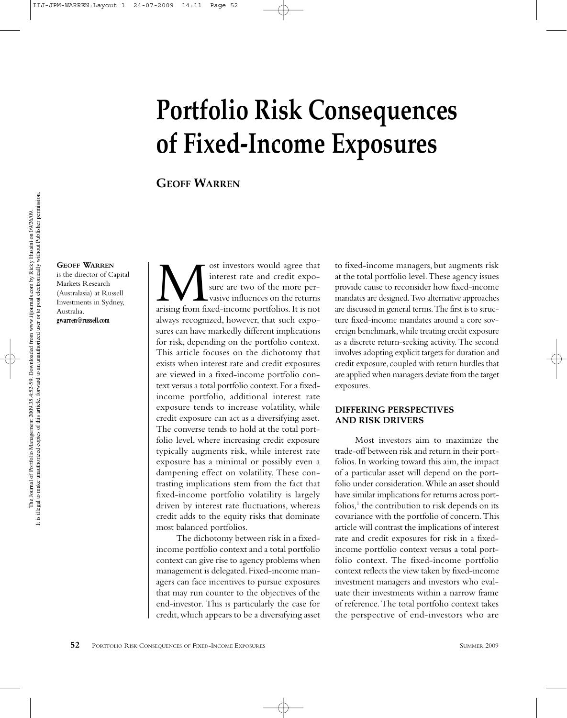# **Portfolio Risk Consequences of Fixed-Income Exposures**

## **GEOFF WARREN**

#### **GEOFF WARREN**

is the director of Capital Markets Research (Australasia) at Russell Investments in Sydney, Australia. **gwarren@russell.com**

**MULLET INTERNATE IN A SET AND SURVEYOR SET AND SURVEY SURVEYOR SURVEYOR AND SURVEY SURVEYOR AND SURVEYOR AND SURVEYOR AND SURVEYOR AND SURVEYOR AND SURVEYOR AND SURVEYOR AND SURVEYOR AND SURVEYOR AND SURVEYOR AND SURVEYOR** interest rate and credit exposure are two of the more pervasive influences on the returns always recognized, however, that such exposures can have markedly different implications for risk, depending on the portfolio context. This article focuses on the dichotomy that exists when interest rate and credit exposures are viewed in a fixed-income portfolio context versus a total portfolio context. For a fixedincome portfolio, additional interest rate exposure tends to increase volatility, while credit exposure can act as a diversifying asset. The converse tends to hold at the total portfolio level, where increasing credit exposure typically augments risk, while interest rate exposure has a minimal or possibly even a dampening effect on volatility. These contrasting implications stem from the fact that fixed-income portfolio volatility is largely driven by interest rate fluctuations, whereas credit adds to the equity risks that dominate most balanced portfolios.

The dichotomy between risk in a fixedincome portfolio context and a total portfolio context can give rise to agency problems when management is delegated. Fixed-income managers can face incentives to pursue exposures that may run counter to the objectives of the end-investor. This is particularly the case for credit, which appears to be a diversifying asset

to fixed-income managers, but augments risk at the total portfolio level. These agency issues provide cause to reconsider how fixed-income mandates are designed. Two alternative approaches are discussed in general terms. The first is to structure fixed-income mandates around a core sovereign benchmark, while treating credit exposure as a discrete return-seeking activity. The second involves adopting explicit targets for duration and credit exposure, coupled with return hurdles that are applied when managers deviate from the target exposures.

## **DIFFERING PERSPECTIVES AND RISK DRIVERS**

Most investors aim to maximize the trade-off between risk and return in their portfolios. In working toward this aim, the impact of a particular asset will depend on the portfolio under consideration. While an asset should have similar implications for returns across portfolios, $<sup>1</sup>$  the contribution to risk depends on its</sup> covariance with the portfolio of concern. This article will contrast the implications of interest rate and credit exposures for risk in a fixedincome portfolio context versus a total portfolio context. The fixed-income portfolio context reflects the view taken by fixed-income investment managers and investors who evaluate their investments within a narrow frame of reference. The total portfolio context takes the perspective of end-investors who are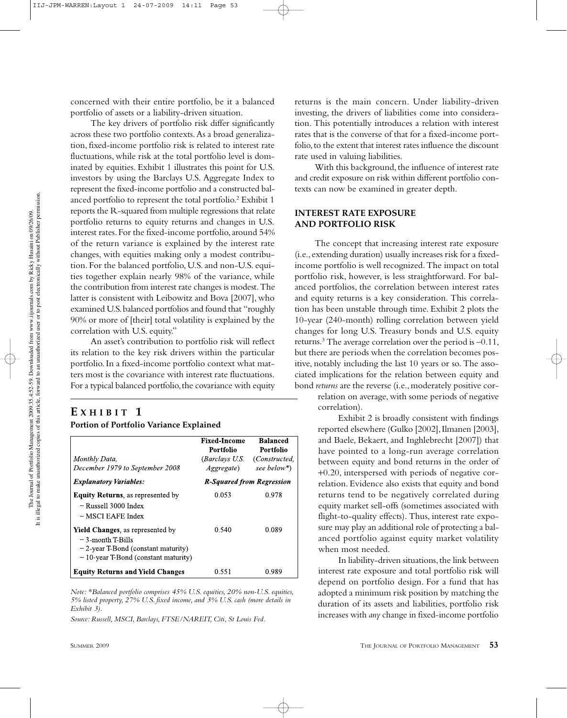concerned with their entire portfolio, be it a balanced portfolio of assets or a liability-driven situation.

The key drivers of portfolio risk differ significantly across these two portfolio contexts. As a broad generalization, fixed-income portfolio risk is related to interest rate fluctuations, while risk at the total portfolio level is dominated by equities. Exhibit 1 illustrates this point for U.S. investors by using the Barclays U.S. Aggregate Index to represent the fixed-income portfolio and a constructed balanced portfolio to represent the total portfolio.<sup>2</sup> Exhibit 1 reports the R-squared from multiple regressions that relate portfolio returns to equity returns and changes in U.S. interest rates. For the fixed-income portfolio, around 54% of the return variance is explained by the interest rate changes, with equities making only a modest contribution. For the balanced portfolio, U.S. and non-U.S. equities together explain nearly 98% of the variance, while the contribution from interest rate changes is modest. The latter is consistent with Leibowitz and Bova [2007], who examined U.S. balanced portfolios and found that "roughly 90% or more of [their] total volatility is explained by the correlation with U.S. equity."

An asset's contribution to portfolio risk will reflect its relation to the key risk drivers within the particular portfolio. In a fixed-income portfolio context what matters most is the covariance with interest rate fluctuations. For a typical balanced portfolio, the covariance with equity

## **E XHIBIT 1 Portion of Portfolio Variance Explained**

| Monthly Data,                                                                                                                                   | <b>Fixed-Income</b><br><b>Portfolio</b><br><i>(Barclays U.S.</i> ) | <b>Balanced</b><br>Portfolio<br>(Constructed, |  |
|-------------------------------------------------------------------------------------------------------------------------------------------------|--------------------------------------------------------------------|-----------------------------------------------|--|
| December 1979 to September 2008                                                                                                                 | <i>Aggregate</i> )                                                 | see below*)                                   |  |
| <b>Explanatory Variables:</b>                                                                                                                   | <b>R-Squared from Regression</b>                                   |                                               |  |
| <b>Equity Returns, as represented by</b><br>- Russell 3000 Index<br>$-$ MSCI EAFE Index                                                         | 0.053                                                              | 0.978                                         |  |
| <b>Yield Changes, as represented by</b><br>– 3-month T-Bills<br>$-2$ -year T-Bond (constant maturity)<br>$-10$ -year T-Bond (constant maturity) | 0.540                                                              | 0.089                                         |  |
| <b>Equity Returns and Yield Changes</b>                                                                                                         | 0.551                                                              | 0.989                                         |  |

*Note: \*Balanced portfolio comprises 45% U.S. equities, 20% non-U.S. equities, 5% listed property, 27% U.S. fixed income, and 3% U.S. cash (more details in Exhibit 3).*

*Source: Russell, MSCI, Barclays, FTSE/NAREIT, Citi, St Louis Fed.*

returns is the main concern. Under liability-driven investing, the drivers of liabilities come into consideration. This potentially introduces a relation with interest rates that is the converse of that for a fixed-income portfolio, to the extent that interest rates influence the discount rate used in valuing liabilities.

With this background, the influence of interest rate and credit exposure on risk within different portfolio contexts can now be examined in greater depth.

## **INTEREST RATE EXPOSURE AND PORTFOLIO RISK**

The concept that increasing interest rate exposure (i.e., extending duration) usually increases risk for a fixedincome portfolio is well recognized. The impact on total portfolio risk, however, is less straightforward. For balanced portfolios, the correlation between interest rates and equity returns is a key consideration. This correlation has been unstable through time. Exhibit 2 plots the 10-year (240-month) rolling correlation between yield changes for long U.S. Treasury bonds and U.S. equity returns.<sup>3</sup> The average correlation over the period is  $-0.11$ , but there are periods when the correlation becomes positive, notably including the last 10 years or so. The associated implications for the relation between equity and bond *returns* are the reverse (i.e., moderately positive cor-

relation on average, with some periods of negative correlation).

Exhibit 2 is broadly consistent with findings reported elsewhere (Gulko [2002], Ilmanen [2003], and Baele, Bekaert, and Inghlebrecht [2007]) that have pointed to a long-run average correlation between equity and bond returns in the order of +0.20, interspersed with periods of negative correlation. Evidence also exists that equity and bond returns tend to be negatively correlated during equity market sell-offs (sometimes associated with flight-to-quality effects). Thus, interest rate exposure may play an additional role of protecting a balanced portfolio against equity market volatility when most needed.

In liability-driven situations, the link between interest rate exposure and total portfolio risk will depend on portfolio design. For a fund that has adopted a minimum risk position by matching the duration of its assets and liabilities, portfolio risk increases with *any* change in fixed-income portfolio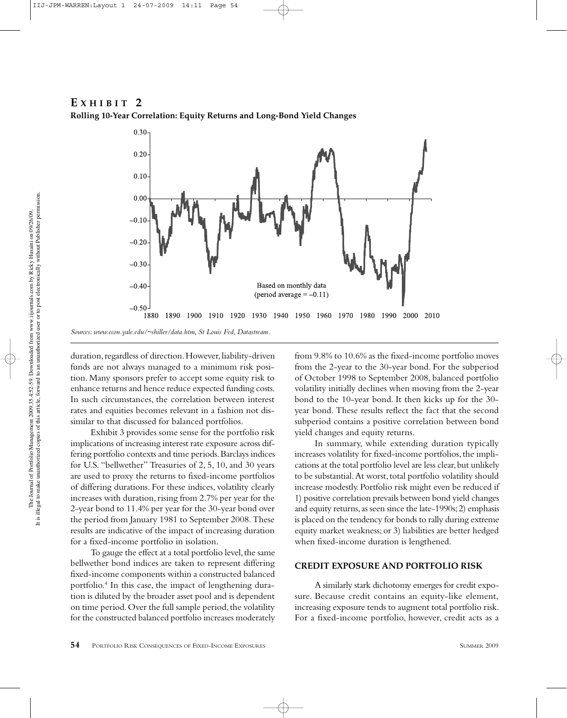## **E XHIBIT 2**



**Rolling 10-Year Correlation: Equity Returns and Long-Bond Yield Changes**

duration, regardless of direction. However, liability-driven funds are not always managed to a minimum risk position. Many sponsors prefer to accept some equity risk to enhance returns and hence reduce expected funding costs. In such circumstances, the correlation between interest rates and equities becomes relevant in a fashion not dissimilar to that discussed for balanced portfolios.

Exhibit 3 provides some sense for the portfolio risk implications of increasing interest rate exposure across differing portfolio contexts and time periods. Barclays indices for U.S. "bellwether" Treasuries of 2, 5, 10, and 30 years are used to proxy the returns to fixed-income portfolios of differing durations. For these indices, volatility clearly increases with duration, rising from 2.7% per year for the 2-year bond to 11.4% per year for the 30-year bond over the period from January 1981 to September 2008. These results are indicative of the impact of increasing duration for a fixed-income portfolio in isolation.

To gauge the effect at a total portfolio level, the same bellwether bond indices are taken to represent differing fixed-income components within a constructed balanced portfolio.4 In this case, the impact of lengthening duration is diluted by the broader asset pool and is dependent on time period. Over the full sample period, the volatility for the constructed balanced portfolio increases moderately from 9.8% to 10.6% as the fixed-income portfolio moves from the 2-year to the 30-year bond. For the subperiod of October 1998 to September 2008, balanced portfolio volatility initially declines when moving from the 2-year bond to the 10-year bond. It then kicks up for the 30 year bond. These results reflect the fact that the second subperiod contains a positive correlation between bond yield changes and equity returns.

In summary, while extending duration typically increases volatility for fixed-income portfolios, the implications at the total portfolio level are less clear, but unlikely to be substantial. At worst, total portfolio volatility should increase modestly. Portfolio risk might even be reduced if 1) positive correlation prevails between bond yield changes and equity returns, as seen since the late-1990s; 2) emphasis is placed on the tendency for bonds to rally during extreme equity market weakness; or 3) liabilities are better hedged when fixed-income duration is lengthened.

### **CREDIT EXPOSURE AND PORTFOLIO RISK**

A similarly stark dichotomy emerges for credit exposure. Because credit contains an equity-like element, increasing exposure tends to augment total portfolio risk. For a fixed-income portfolio, however, credit acts as a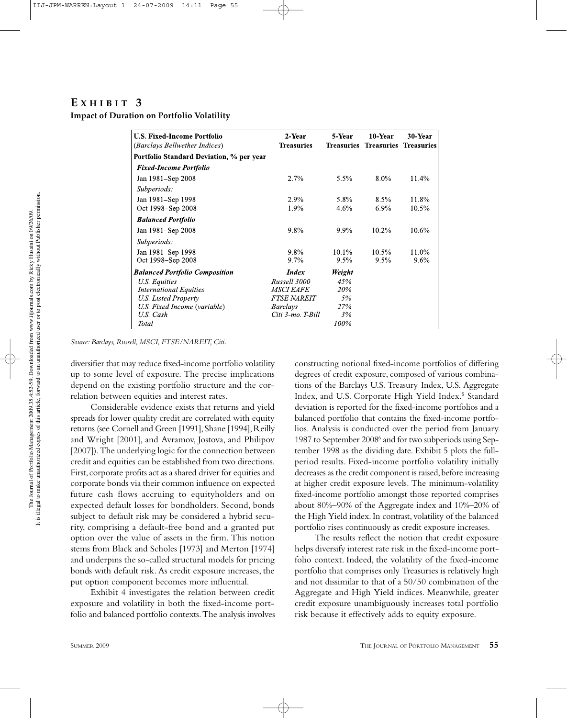## **E XHIBIT 3**

**Impact of Duration on Portfolio Volatility**

| <b>U.S. Fixed-Income Portfolio</b><br>(Barclays Bellwether Indices) | 2-Year<br><b>Treasuries</b> | 5-Year<br><b>Treasuries</b> | 10-Year<br><b>Treasuries Treasuries</b> | 30-Year |
|---------------------------------------------------------------------|-----------------------------|-----------------------------|-----------------------------------------|---------|
| Portfolio Standard Deviation, % per year                            |                             |                             |                                         |         |
| <b>Fixed-Income Portfolio</b>                                       |                             |                             |                                         |         |
| Jan 1981–Sep 2008                                                   | 2.7%                        | $5.5\%$                     | $8.0\%$                                 | 11.4%   |
| Subperiods:                                                         |                             |                             |                                         |         |
| Jan 1981–Sep 1998                                                   | 2.9%                        | 5.8%                        | 8.5%                                    | 11.8%   |
| Oct 1998–Sep 2008                                                   | 1.9%                        | 4.6%                        | $6.9\%$                                 | 10.5%   |
| <b>Balanced Portfolio</b>                                           |                             |                             |                                         |         |
| Jan 1981–Sep 2008                                                   | 9.8%                        | $9.9\%$                     | $10.2\%$                                | 10.6%   |
| Subperiods:                                                         |                             |                             |                                         |         |
| Jan 1981–Sep 1998                                                   | $9.8\%$                     | $10.1\%$                    | $10.5\%$                                | 11.0%   |
| Oct 1998-Sep 2008                                                   | $9.7\%$                     | $9.5\%$                     | $9.5\%$                                 | 9.6%    |
| <b>Balanced Portfolio Composition</b>                               | <i>Index</i>                | Weight                      |                                         |         |
| U.S. Equities                                                       | Russell 3000                | 45%                         |                                         |         |
| <b>International Equities</b>                                       | <b>MSCI EAFE</b>            | 20%                         |                                         |         |
| U.S. Listed Property                                                | <b>FTSE NAREIT</b>          | 5%                          |                                         |         |
| U.S. Fixed Income (variable)                                        | <b>Barclays</b>             | 27%                         |                                         |         |
| U.S. Cash                                                           | Citi 3-mo. T-Bill           | 3%                          |                                         |         |
| Total                                                               |                             | 100%                        |                                         |         |

*Source: Barclays, Russell, MSCI, FTSE/NAREIT, Citi.*

diversifier that may reduce fixed-income portfolio volatility up to some level of exposure. The precise implications depend on the existing portfolio structure and the correlation between equities and interest rates.

Considerable evidence exists that returns and yield spreads for lower quality credit are correlated with equity returns (see Cornell and Green [1991], Shane [1994], Reilly and Wright [2001], and Avramov, Jostova, and Philipov [2007]). The underlying logic for the connection between credit and equities can be established from two directions. First, corporate profits act as a shared driver for equities and corporate bonds via their common influence on expected future cash flows accruing to equityholders and on expected default losses for bondholders. Second, bonds subject to default risk may be considered a hybrid security, comprising a default-free bond and a granted put option over the value of assets in the firm. This notion stems from Black and Scholes [1973] and Merton [1974] and underpins the so-called structural models for pricing bonds with default risk. As credit exposure increases, the put option component becomes more influential.

Exhibit 4 investigates the relation between credit exposure and volatility in both the fixed-income portfolio and balanced portfolio contexts. The analysis involves

constructing notional fixed-income portfolios of differing degrees of credit exposure, composed of various combinations of the Barclays U.S. Treasury Index, U.S. Aggregate Index, and U.S. Corporate High Yield Index.<sup>5</sup> Standard deviation is reported for the fixed-income portfolios and a balanced portfolio that contains the fixed-income portfolios. Analysis is conducted over the period from January 1987 to September 2008<sup>6</sup> and for two subperiods using September 1998 as the dividing date. Exhibit 5 plots the fullperiod results. Fixed-income portfolio volatility initially decreases as the credit component is raised, before increasing at higher credit exposure levels. The minimum-volatility fixed-income portfolio amongst those reported comprises about 80%–90% of the Aggregate index and 10%–20% of the High Yield index. In contrast, volatility of the balanced portfolio rises continuously as credit exposure increases.

The results reflect the notion that credit exposure helps diversify interest rate risk in the fixed-income portfolio context. Indeed, the volatility of the fixed-income portfolio that comprises only Treasuries is relatively high and not dissimilar to that of a 50/50 combination of the Aggregate and High Yield indices. Meanwhile, greater credit exposure unambiguously increases total portfolio risk because it effectively adds to equity exposure.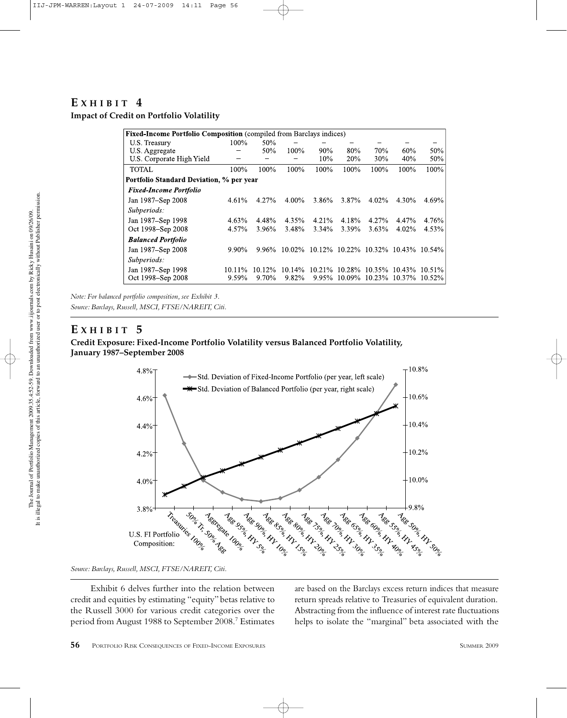## $E$  **XHIBIT** 4

**Impact of Credit on Portfolio Volatility**

| Fixed-Income Portfolio Composition (compiled from Barclays indices) |        |        |           |           |                   |           |                 |           |
|---------------------------------------------------------------------|--------|--------|-----------|-----------|-------------------|-----------|-----------------|-----------|
| U.S. Treasury                                                       | 100%   | 50%    |           |           |                   |           |                 |           |
| U.S. Aggregate                                                      |        | 50%    | 100%      | 90%       | 80%               | 70%       | 60%             | 50%       |
| U.S. Corporate High Yield                                           |        |        |           | 10%       | 20%               | 30%       | 40%             | 50%       |
| <b>TOTAL</b>                                                        | 100%   | 100%   | 100%      | 100%      | 100%              | 100%      | 100%            | 100%      |
| Portfolio Standard Deviation, % per year                            |        |        |           |           |                   |           |                 |           |
| <b>Fixed-Income Portfolio</b>                                       |        |        |           |           |                   |           |                 |           |
| Jan 1987–Sep 2008                                                   | 4.61%  | 4.27%  | 4.00%     | 3.86%     | 3.87%             | 4.02%     | 4.30%           | 4.69%     |
| Subperiods:                                                         |        |        |           |           |                   |           |                 |           |
| Jan 1987–Sep 1998                                                   | 4.63%  | 4.48%  | 4.35%     | $4.21\%$  | 4.18%             | 4.27%     | 4.47%           | 4.76%     |
| Oct 1998–Sep 2008                                                   | 4.57%  | 3.96%  | 3.48%     | $3.34\%$  | 3.39%             | 3.63%     | 4.02%           | 4.53%     |
| <b>Balanced Portfolio</b>                                           |        |        |           |           |                   |           |                 |           |
| Jan 1987-Sep 2008                                                   | 9.90%  | 9.96%  | $10.02\%$ |           | $10.12\%$ 10.22\% |           | 10.32\% 10.43\% | $10.54\%$ |
| Subperiods:                                                         |        |        |           |           |                   |           |                 |           |
| Jan 1987–Sep 1998                                                   | 10.11% | 10.12% | 10.14%    | $10.21\%$ | 10.28%            | $10.35\%$ | $10.43\%$       | $10.51\%$ |
| Oct 1998–Sep 2008                                                   | 9.59%  | 9.70%  | 9.82%     | 9.95%     | $10.09\%$         | $10.23\%$ | $10.37\%$       | $10.52\%$ |

*Note: For balanced portfolio composition, see Exhibit 3.*

*Source: Barclays, Russell, MSCI, FTSE/NAREIT, Citi.*

## **E XHIBIT 5**

## **Credit Exposure: Fixed-Income Portfolio Volatility versus Balanced Portfolio Volatility, January 1987–September 2008**



*Source: Barclays, Russell, MSCI, FTSE/NAREIT, Citi.*

Exhibit 6 delves further into the relation between credit and equities by estimating "equity" betas relative to the Russell 3000 for various credit categories over the period from August 1988 to September 2008.7 Estimates are based on the Barclays excess return indices that measure return spreads relative to Treasuries of equivalent duration. Abstracting from the influence of interest rate fluctuations helps to isolate the "marginal" beta associated with the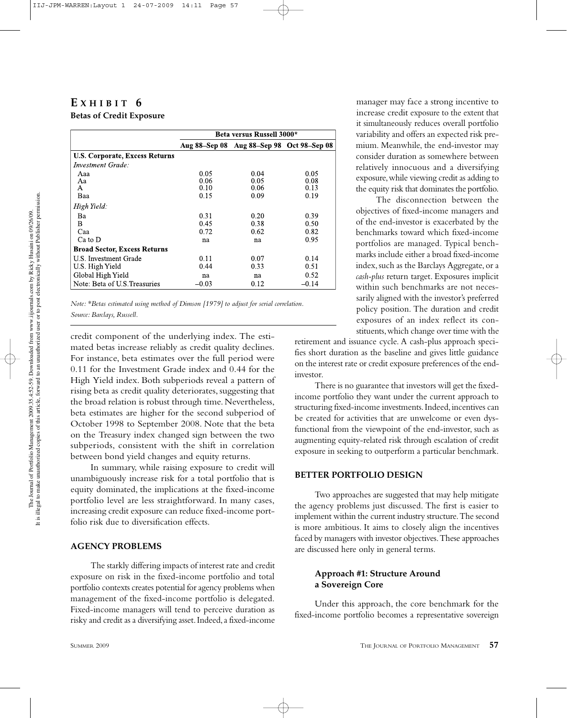## **E XHIBIT 6 Betas of Credit Exposure**

|                                       | Beta versus Russell 3000* |                                           |         |  |  |  |
|---------------------------------------|---------------------------|-------------------------------------------|---------|--|--|--|
|                                       |                           | Aug 88–Sep 08 Aug 88–Sep 98 Oct 98–Sep 08 |         |  |  |  |
| <b>U.S. Corporate, Excess Returns</b> |                           |                                           |         |  |  |  |
| Investment Grade:                     |                           |                                           |         |  |  |  |
| Aaa                                   | 0.05                      | 0.04                                      | 0.05    |  |  |  |
| Aa                                    | 0.06                      | 0.05                                      | 0.08    |  |  |  |
| A                                     | 0.10                      | 0.06                                      | 0.13    |  |  |  |
| Baa                                   | 0.15                      | 0.09                                      | 0.19    |  |  |  |
| High Yield:                           |                           |                                           |         |  |  |  |
| Ba.                                   | 0.31                      | 0.20                                      | 0.39    |  |  |  |
| B                                     | 0.45                      | 0.38                                      | 0.50    |  |  |  |
| Caa                                   | 0.72                      | 0.62                                      | 0.82    |  |  |  |
| $Ca$ to $D$                           | na                        | na                                        | 0.95    |  |  |  |
| <b>Broad Sector, Excess Returns</b>   |                           |                                           |         |  |  |  |
| <b>U.S. Investment Grade</b>          | 0.11                      | 0.07                                      | 0.14    |  |  |  |
| U.S. High Yield                       | 0.44                      | 0.33                                      | 0.51    |  |  |  |
| Global High Yield                     | na                        | na                                        | 0.52    |  |  |  |
| Note: Beta of U.S. Treasuries         | $-0.03$                   | 0.12                                      | $-0.14$ |  |  |  |

*Note: \*Betas estimated using method of Dimson [1979] to adjust for serial correlation. Source: Barclays, Russell.*

credit component of the underlying index. The estimated betas increase reliably as credit quality declines. For instance, beta estimates over the full period were 0.11 for the Investment Grade index and 0.44 for the High Yield index. Both subperiods reveal a pattern of rising beta as credit quality deteriorates, suggesting that the broad relation is robust through time. Nevertheless, beta estimates are higher for the second subperiod of October 1998 to September 2008. Note that the beta on the Treasury index changed sign between the two subperiods, consistent with the shift in correlation between bond yield changes and equity returns.

In summary, while raising exposure to credit will unambiguously increase risk for a total portfolio that is equity dominated, the implications at the fixed-income portfolio level are less straightforward. In many cases, increasing credit exposure can reduce fixed-income portfolio risk due to diversification effects.

#### **AGENCY PROBLEMS**

The starkly differing impacts of interest rate and credit exposure on risk in the fixed-income portfolio and total portfolio contexts creates potential for agency problems when management of the fixed-income portfolio is delegated. Fixed-income managers will tend to perceive duration as risky and credit as a diversifying asset. Indeed, a fixed-income

manager may face a strong incentive to increase credit exposure to the extent that it simultaneously reduces overall portfolio variability and offers an expected risk premium. Meanwhile, the end-investor may consider duration as somewhere between relatively innocuous and a diversifying exposure, while viewing credit as adding to the equity risk that dominates the portfolio.

The disconnection between the objectives of fixed-income managers and of the end-investor is exacerbated by the benchmarks toward which fixed-income portfolios are managed. Typical benchmarks include either a broad fixed-income index, such as the Barclays Aggregate, or a *cash-plus* return target. Exposures implicit within such benchmarks are not necessarily aligned with the investor's preferred policy position. The duration and credit exposures of an index reflect its constituents, which change over time with the

retirement and issuance cycle. A cash-plus approach specifies short duration as the baseline and gives little guidance on the interest rate or credit exposure preferences of the endinvestor.

There is no guarantee that investors will get the fixedincome portfolio they want under the current approach to structuring fixed-income investments. Indeed, incentives can be created for activities that are unwelcome or even dysfunctional from the viewpoint of the end-investor, such as augmenting equity-related risk through escalation of credit exposure in seeking to outperform a particular benchmark.

### **BETTER PORTFOLIO DESIGN**

Two approaches are suggested that may help mitigate the agency problems just discussed. The first is easier to implement within the current industry structure. The second is more ambitious. It aims to closely align the incentives faced by managers with investor objectives. These approaches are discussed here only in general terms.

## **Approach #1: Structure Around a Sovereign Core**

Under this approach, the core benchmark for the fixed-income portfolio becomes a representative sovereign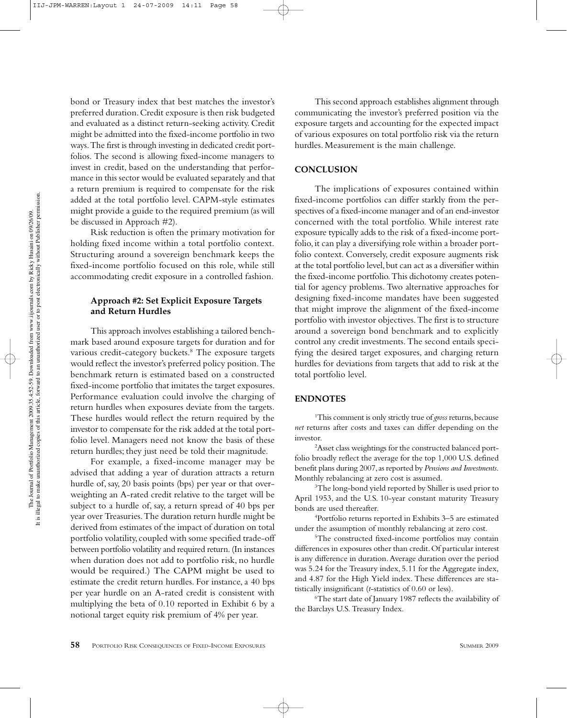The Journal of Portfolio Management 2009.35.4:52-59. Downloaded from www.iijournals.com by Ricky Husaini on 09/2609.<br>It is illegal to make unauthorized copies of this article, forward to an unauthorized user or to post ele The Journal of Portfolio Management 2009.35.4:52-59. Downloaded from www.iijournals.com by Ricky Husaini on 09/2609.<br>It is illegal to make unauthorized copies of this article, forward to an unauthorized user or to post ele

bond or Treasury index that best matches the investor's preferred duration. Credit exposure is then risk budgeted and evaluated as a distinct return-seeking activity. Credit might be admitted into the fixed-income portfolio in two ways. The first is through investing in dedicated credit portfolios. The second is allowing fixed-income managers to invest in credit, based on the understanding that performance in this sector would be evaluated separately and that a return premium is required to compensate for the risk added at the total portfolio level. CAPM-style estimates might provide a guide to the required premium(as will be discussed in Approach #2).

Risk reduction is often the primary motivation for holding fixed income within a total portfolio context. Structuring around a sovereign benchmark keeps the fixed-income portfolio focused on this role, while still accommodating credit exposure in a controlled fashion.

### **Approach #2: Set Explicit Exposure Targets and Return Hurdles**

This approach involves establishing a tailored benchmark based around exposure targets for duration and for various credit-category buckets.<sup>8</sup> The exposure targets would reflect the investor's preferred policy position. The benchmark return is estimated based on a constructed fixed-income portfolio that imitates the target exposures. Performance evaluation could involve the charging of return hurdles when exposures deviate from the targets. These hurdles would reflect the return required by the investor to compensate for the risk added at the total portfolio level. Managers need not know the basis of these return hurdles; they just need be told their magnitude.

For example, a fixed-income manager may be advised that adding a year of duration attracts a return hurdle of, say, 20 basis points (bps) per year or that overweighting an A-rated credit relative to the target will be subject to a hurdle of, say, a return spread of 40 bps per year over Treasuries. The duration return hurdle might be derived from estimates of the impact of duration on total portfolio volatility, coupled with some specified trade-off between portfolio volatility and required return. (In instances when duration does not add to portfolio risk, no hurdle would be required.) The CAPM might be used to estimate the credit return hurdles. For instance, a 40 bps per year hurdle on an A-rated credit is consistent with multiplying the beta of 0.10 reported in Exhibit 6 by a notional target equity risk premium of 4% per year.

This second approach establishes alignment through communicating the investor's preferred position via the exposure targets and accounting for the expected impact of various exposures on total portfolio risk via the return hurdles. Measurement is the main challenge.

#### **CONCLUSION**

The implications of exposures contained within fixed-income portfolios can differ starkly from the perspectives of a fixed-income manager and of an end-investor concerned with the total portfolio. While interest rate exposure typically adds to the risk of a fixed-income portfolio, it can play a diversifying role within a broader portfolio context. Conversely, credit exposure augments risk at the total portfolio level, but can act as a diversifier within the fixed-income portfolio. This dichotomy creates potential for agency problems. Two alternative approaches for designing fixed-income mandates have been suggested that might improve the alignment of the fixed-income portfolio with investor objectives. The first is to structure around a sovereign bond benchmark and to explicitly control any credit investments. The second entails specifying the desired target exposures, and charging return hurdles for deviations from targets that add to risk at the total portfolio level.

## **ENDNOTES**

1 This comment is only strictly true of *gross* returns, because *net* returns after costs and taxes can differ depending on the investor.

2 Asset class weightings for the constructed balanced portfolio broadly reflect the average for the top 1,000 U.S. defined benefit plans during 2007, as reported by *Pensions and Investments*. Monthly rebalancing at zero cost is assumed.

<sup>3</sup>The long-bond yield reported by Shiller is used prior to April 1953, and the U.S. 10-year constant maturity Treasury bonds are used thereafter.

4 Portfolio returns reported in Exhibits 3–5 are estimated under the assumption of monthly rebalancing at zero cost.

5 The constructed fixed-income portfolios may contain differences in exposures other than credit. Of particular interest is any difference in duration. Average duration over the period was 5.24 for the Treasury index, 5.11 for the Aggregate index, and 4.87 for the High Yield index. These differences are statistically insignificant (*t*-statistics of 0.60 or less).

6 The start date of January 1987 reflects the availability of the Barclays U.S. Treasury Index.